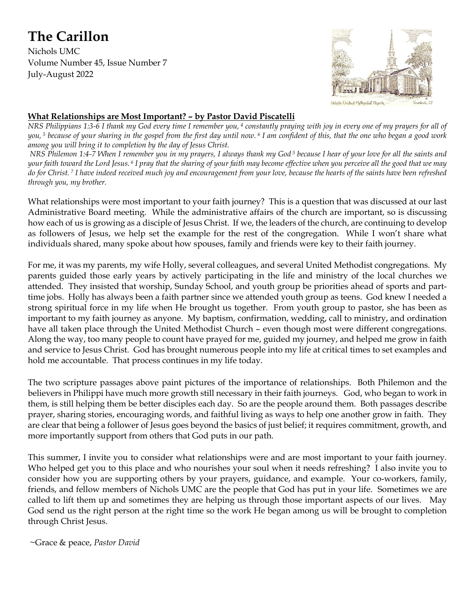# **The Carillon**

Nichols UMC Volume Number 45, Issue Number 7 July-August 2022



#### **What Relationships are Most Important? – by Pastor David Piscatelli**

*NRS Philippians 1:3-6 I thank my God every time I remember you, <sup>4</sup> constantly praying with joy in every one of my prayers for all of you, <sup>5</sup> because of your sharing in the gospel from the first day until now. <sup>6</sup> I am confident of this, that the one who began a good work among you will bring it to completion by the day of Jesus Christ.* 

*NRS Philemon 1:4-7 When I remember you in my prayers, I always thank my God <sup>5</sup> because I hear of your love for all the saints and your faith toward the Lord Jesus. <sup>6</sup> I pray that the sharing of your faith may become effective when you perceive all the good that we may do for Christ. <sup>7</sup> I have indeed received much joy and encouragement from your love, because the hearts of the saints have been refreshed through you, my brother.*

What relationships were most important to your faith journey? This is a question that was discussed at our last Administrative Board meeting. While the administrative affairs of the church are important, so is discussing how each of us is growing as a disciple of Jesus Christ. If we, the leaders of the church, are continuing to develop as followers of Jesus, we help set the example for the rest of the congregation. While I won't share what individuals shared, many spoke about how spouses, family and friends were key to their faith journey.

For me, it was my parents, my wife Holly, several colleagues, and several United Methodist congregations. My parents guided those early years by actively participating in the life and ministry of the local churches we attended. They insisted that worship, Sunday School, and youth group be priorities ahead of sports and parttime jobs. Holly has always been a faith partner since we attended youth group as teens. God knew I needed a strong spiritual force in my life when He brought us together. From youth group to pastor, she has been as important to my faith journey as anyone. My baptism, confirmation, wedding, call to ministry, and ordination have all taken place through the United Methodist Church – even though most were different congregations. Along the way, too many people to count have prayed for me, guided my journey, and helped me grow in faith and service to Jesus Christ. God has brought numerous people into my life at critical times to set examples and hold me accountable. That process continues in my life today.

The two scripture passages above paint pictures of the importance of relationships. Both Philemon and the believers in Philippi have much more growth still necessary in their faith journeys. God, who began to work in them, is still helping them be better disciples each day. So are the people around them. Both passages describe prayer, sharing stories, encouraging words, and faithful living as ways to help one another grow in faith. They are clear that being a follower of Jesus goes beyond the basics of just belief; it requires commitment, growth, and more importantly support from others that God puts in our path.

This summer, I invite you to consider what relationships were and are most important to your faith journey. Who helped get you to this place and who nourishes your soul when it needs refreshing? I also invite you to consider how you are supporting others by your prayers, guidance, and example. Your co-workers, family, friends, and fellow members of Nichols UMC are the people that God has put in your life. Sometimes we are called to lift them up and sometimes they are helping us through those important aspects of our lives. May God send us the right person at the right time so the work He began among us will be brought to completion through Christ Jesus.

~Grace & peace, *Pastor David*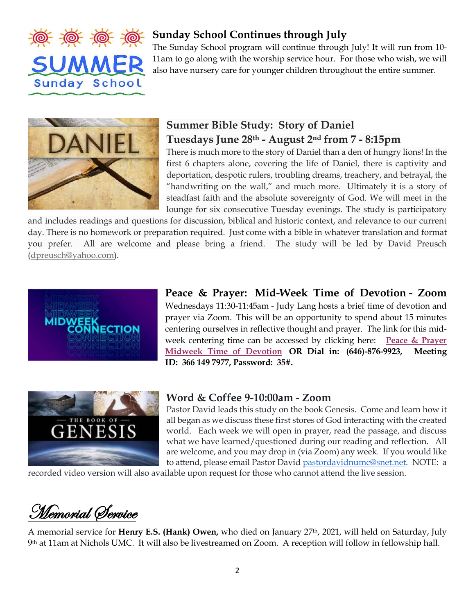

## **Sunday School Continues through July**

The Sunday School program will continue through July! It will run from 10- 11am to go along with the worship service hour. For those who wish, we will also have nursery care for younger children throughout the entire summer.



# **Summer Bible Study: Story of Daniel Tuesdays June 28th - August 2nd from 7 - 8:15pm**

There is much more to the story of Daniel than a den of hungry lions! In the first 6 chapters alone, covering the life of Daniel, there is captivity and deportation, despotic rulers, troubling dreams, treachery, and betrayal, the "handwriting on the wall," and much more. Ultimately it is a story of steadfast faith and the absolute sovereignty of God. We will meet in the lounge for six consecutive Tuesday evenings. The study is participatory

and includes readings and questions for discussion, biblical and historic context, and relevance to our current day. There is no homework or preparation required. Just come with a bible in whatever translation and format you prefer. All are welcome and please bring a friend. The study will be led by David Preusch [\(dpreusch@yahoo.com\)](mailto:dpreusch@yahoo.com).



**Peace & Prayer: Mid-Week Time of Devotion - Zoom** Wednesdays 11:30-11:45am - Judy Lang hosts a brief time of devotion and prayer via Zoom. This will be an opportunity to spend about 15 minutes centering ourselves in reflective thought and prayer. The link for this midweek centering time can be accessed by clicking here: **[Peace & Prayer](https://nicholsumc.us4.list-manage.com/track/click?u=d09532b52f4e74b81f543ac42&id=d757c834fe&e=3a11e96bb0)  [Midweek Time of Devotion](https://nicholsumc.us4.list-manage.com/track/click?u=d09532b52f4e74b81f543ac42&id=d757c834fe&e=3a11e96bb0) OR Dial in: (646)-876-9923, Meeting ID: 366 149 7977, Password: 35#.**



## **Word & Coffee 9-10:00am - Zoom**

Pastor David leads this study on the book Genesis. Come and learn how it all began as we discuss these first stores of God interacting with the created world. Each week we will open in prayer, read the passage, and discuss what we have learned/questioned during our reading and reflection. All are welcome, and you may drop in (via Zoom) any week. If you would like to attend, please email Pastor David [pastordavidnumc@snet.net.](mailto:pastordavidnumc@snet.net) NOTE: a

recorded video version will also available upon request for those who cannot attend the live session.

Memorial Service

A memorial service for **Henry E.S. (Hank) Owen,** who died on January 27th, 2021, will held on Saturday, July 9th at 11am at Nichols UMC. It will also be livestreamed on Zoom. A reception will follow in fellowship hall.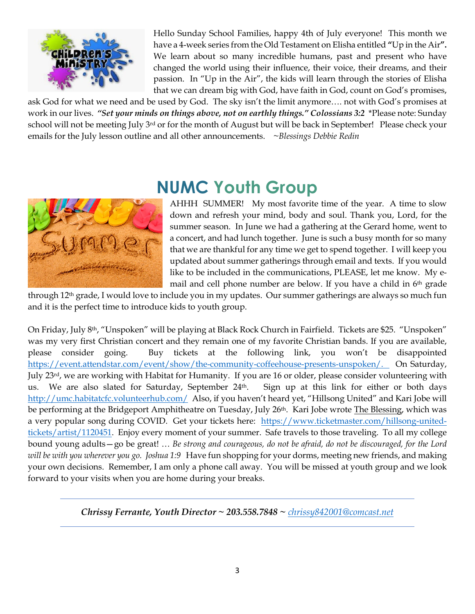

Hello Sunday School Families, happy 4th of July everyone! This month we have a 4-week series from the Old Testament on Elisha entitled **"**Up in the Air**".** We learn about so many incredible humans, past and present who have changed the world using their influence, their voice, their dreams, and their passion. In "Up in the Air", the kids will learn through the stories of Elisha that we can dream big with God, have faith in God, count on God's promises,

ask God for what we need and be used by God. The sky isn't the limit anymore…. not with God's promises at work in our lives. *"Set your minds on things above, not on earthly things." Colossians 3:2* \*Please note: Sunday school will not be meeting July 3<sup>rd</sup> or for the month of August but will be back in September! Please check your emails for the July lesson outline and all other announcements. *~Blessings Debbie Redin*



# **NUMC Youth Group**

AHHH SUMMER! My most favorite time of the year. A time to slow down and refresh your mind, body and soul. Thank you, Lord, for the summer season. In June we had a gathering at the Gerard home, went to a concert, and had lunch together. June is such a busy month for so many that we are thankful for any time we get to spend together. I will keep you updated about summer gatherings through email and texts. If you would like to be included in the communications, PLEASE, let me know. My email and cell phone number are below. If you have a child in 6th grade

through 12th grade, I would love to include you in my updates. Our summer gatherings are always so much fun and it is the perfect time to introduce kids to youth group.

On Friday, July 8th, "Unspoken" will be playing at Black Rock Church in Fairfield. Tickets are \$25. "Unspoken" was my very first Christian concert and they remain one of my favorite Christian bands. If you are available, please consider going. Buy tickets at the following link, you won't be disappointed [https://event.attendstar.com/event/show/the-community-coffeehouse-presents-unspoken/.](https://event.attendstar.com/event/show/the-community-coffeehouse-presents-unspoken/) On Saturday, July 23rd, we are working with Habitat for Humanity. If you are 16 or older, please consider volunteering with us. We are also slated for Saturday, September 24th. Sign up at this link for either or both days <http://umc.habitatcfc.volunteerhub.com/>Also, if you haven't heard yet, "Hillsong United" and Kari Jobe will be performing at the Bridgeport Amphitheatre on Tuesday, July 26<sup>th</sup>. Kari Jobe wrote The Blessing, which was a very popular song during COVID. Get your tickets here: [https://www.ticketmaster.com/hillsong-united](https://www.ticketmaster.com/hillsong-united-tickets/artist/1120451)[tickets/artist/1120451.](https://www.ticketmaster.com/hillsong-united-tickets/artist/1120451) Enjoy every moment of your summer. Safe travels to those traveling. To all my college bound young adults—go be great! … *Be strong and courageous, do not be afraid, do not be discouraged, for the Lord will be with you wherever you go. Joshua 1:9* Have fun shopping for your dorms, meeting new friends, and making your own decisions. Remember, I am only a phone call away. You will be missed at youth group and we look forward to your visits when you are home during your breaks.

*Chrissy Ferrante, Youth Director ~ 203.558.7848 ~ [chrissy842001@comcast.net](mailto:chrissy842001@comcast.net)*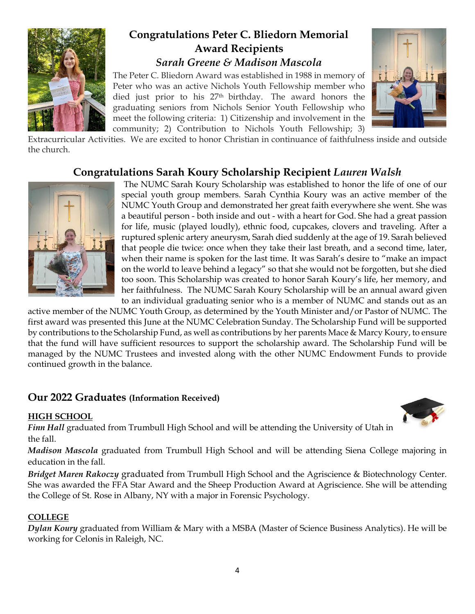

# **Congratulations Peter C. Bliedorn Memorial Award Recipients** *Sarah Greene & Madison Mascola*

The Peter C. Bliedorn Award was established in 1988 in memory of Peter who was an active Nichols Youth Fellowship member who died just prior to his 27th birthday. The award honors the graduating seniors from Nichols Senior Youth Fellowship who meet the following criteria: 1) Citizenship and involvement in the community; 2) Contribution to Nichols Youth Fellowship; 3)



Extracurricular Activities. We are excited to honor Christian in continuance of faithfulness inside and outside the church.

# **Congratulations Sarah Koury Scholarship Recipient** *Lauren Walsh*



The NUMC Sarah Koury Scholarship was established to honor the life of one of our special youth group members. Sarah Cynthia Koury was an active member of the NUMC Youth Group and demonstrated her great faith everywhere she went. She was a beautiful person - both inside and out - with a heart for God. She had a great passion for life, music (played loudly), ethnic food, cupcakes, clovers and traveling. After a ruptured splenic artery aneurysm, Sarah died suddenly at the age of 19. Sarah believed that people die twice: once when they take their last breath, and a second time, later, when their name is spoken for the last time. It was Sarah's desire to "make an impact on the world to leave behind a legacy" so that she would not be forgotten, but she died too soon. This Scholarship was created to honor Sarah Koury's life, her memory, and her faithfulness. The NUMC Sarah Koury Scholarship will be an annual award given to an individual graduating senior who is a member of NUMC and stands out as an

active member of the NUMC Youth Group, as determined by the Youth Minister and/or Pastor of NUMC. The first award was presented this June at the NUMC Celebration Sunday. The Scholarship Fund will be supported by contributions to the Scholarship Fund, as well as contributions by her parents Mace & Marcy Koury, to ensure that the fund will have sufficient resources to support the scholarship award. The Scholarship Fund will be managed by the NUMC Trustees and invested along with the other NUMC Endowment Funds to provide continued growth in the balance.

# **Our 2022 Graduates (Information Received)**

#### **HIGH SCHOOL**



*Finn Hall* graduated from Trumbull High School and will be attending the University of Utah in the fall.

*Madison Mascola* graduated from Trumbull High School and will be attending Siena College majoring in education in the fall.

*Bridget Maren Rakoczy* graduated from Trumbull High School and the Agriscience & Biotechnology Center. She was awarded the FFA Star Award and the Sheep Production Award at Agriscience. She will be attending the College of St. Rose in Albany, NY with a major in Forensic Psychology.

### **COLLEGE**

*Dylan Koury* graduated from William & Mary with a MSBA (Master of Science Business Analytics). He will be working for Celonis in Raleigh, NC.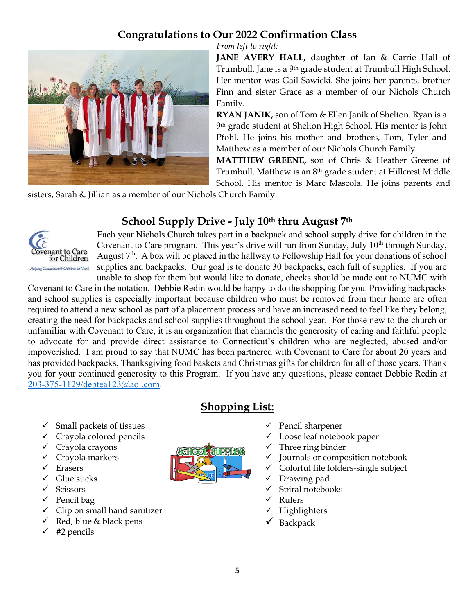# **Congratulations to Our 2022 Confirmation Class**



*From left to right:*

JANE AVERY HALL, daughter of Ian & Carrie Hall of Trumbull. Jane is a 9th grade student at Trumbull High School. Her mentor was Gail Sawicki. She joins her parents, brother Finn and sister Grace as a member of our Nichols Church Family.

**RYAN JANIK,** son of Tom & Ellen Janik of Shelton. Ryan is a 9th grade student at Shelton High School. His mentor is John Pfohl. He joins his mother and brothers, Tom, Tyler and Matthew as a member of our Nichols Church Family.

**MATTHEW GREENE,** son of Chris & Heather Greene of Trumbull. Matthew is an 8th grade student at Hillcrest Middle School. His mentor is Marc Mascola. He joins parents and

sisters, Sarah & Jillian as a member of our Nichols Church Family.

# **School Supply Drive - July 10th thru August 7th**



Each year Nichols Church takes part in a backpack and school supply drive for children in the Covenant to Care program. This year's drive will run from Sunday, July  $10<sup>th</sup>$  through Sunday, August  $7<sup>th</sup>$ . A box will be placed in the hallway to Fellowship Hall for your donations of school supplies and backpacks. Our goal is to donate 30 backpacks, each full of supplies. If you are unable to shop for them but would like to donate, checks should be made out to NUMC with

Covenant to Care in the notation. Debbie Redin would be happy to do the shopping for you. Providing backpacks and school supplies is especially important because children who must be removed from their home are often required to attend a new school as part of a placement process and have an increased need to feel like they belong, creating the need for backpacks and school supplies throughout the school year. For those new to the church or unfamiliar with Covenant to Care, it is an organization that channels the generosity of caring and faithful people to advocate for and provide direct assistance to Connecticut's children who are neglected, abused and/or impoverished. I am proud to say that NUMC has been partnered with Covenant to Care for about 20 years and has provided backpacks, Thanksgiving food baskets and Christmas gifts for children for all of those years. Thank you for your continued generosity to this Program. If you have any questions, please contact Debbie Redin at [203-375-1129/debtea123@aol.com.](mailto:203-375-1129/debtea123@aol.com)

**Shopping List:**

- $\checkmark$  Small packets of tissues
- $\checkmark$  Crayola colored pencils
- $\checkmark$  Crayola crayons
- $\checkmark$  Crayola markers
- $\checkmark$  Erasers
- $\checkmark$  Glue sticks
- $\checkmark$  Scissors
- $\checkmark$  Pencil bag
- $\checkmark$  Clip on small hand sanitizer
- $\checkmark$  Red, blue & black pens
- $\checkmark$  #2 pencils



- $\checkmark$  Pencil sharpener
- Loose leaf notebook paper
- Three ring binder
- Journals or composition notebook
- Colorful file folders-single subject
- Drawing pad
- $\checkmark$  Spiral notebooks
- Rulers
- Highlighters
- $\checkmark$  Backpack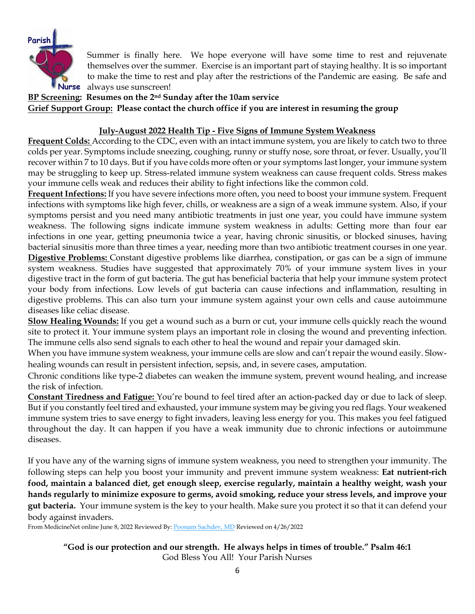

Summer is finally here. We hope everyone will have some time to rest and rejuvenate themselves over the summer. Exercise is an important part of staying healthy. It is so important to make the time to rest and play after the restrictions of the Pandemic are easing. Be safe and Nurse always use sunscreen!

**BP Screening: Resumes on the 2nd Sunday after the 10am service Grief Support Group: Please contact the church office if you are interest in resuming the group**

#### **July-August 2022 Health Tip - Five Signs of Immune System Weakness**

**Frequent Colds:** According to the CDC, even with an intact immune system, you are likely to catch two to three colds per year. Symptoms include sneezing, coughing, runny or stuffy nose, sore throat, or fever. Usually, you'll recover within 7 to 10 days. But if you have colds more often or your symptoms last longer, your immune system may be struggling to keep up. Stress-related immune system weakness can cause frequent colds. Stress makes your immune cells weak and reduces their ability to fight infections like the common cold.

**Frequent Infections:** If you have severe infections more often, you need to boost your immune system. Frequent infections with symptoms like high fever, chills, or weakness are a sign of a weak immune system. Also, if your symptoms persist and you need many antibiotic treatments in just one year, you could have immune system weakness. The following signs indicate immune system weakness in adults: Getting more than four ear infections in one year, getting pneumonia twice a year, having chronic sinusitis, or blocked sinuses, having bacterial sinusitis more than three times a year, needing more than two antibiotic treatment courses in one year. **Digestive Problems:** Constant digestive problems like diarrhea, constipation, or gas can be a sign of immune system weakness. Studies have suggested that approximately 70% of your immune system lives in your digestive tract in the form of gut bacteria. The gut has beneficial bacteria that help your immune system protect your body from infections. Low levels of gut bacteria can cause infections and inflammation, resulting in digestive problems. This can also turn your immune system against your own cells and cause autoimmune diseases like celiac disease.

**Slow Healing Wounds:** If you get a wound such as a burn or cut, your immune cells quickly reach the wound site to protect it. Your immune system plays an important role in closing the wound and preventing infection. The immune cells also send signals to each other to heal the wound and repair your damaged skin.

When you have immune system weakness, your immune cells are slow and can't repair the wound easily. Slowhealing wounds can result in persistent infection, sepsis, and, in severe cases, amputation.

Chronic conditions like type-2 diabetes can weaken the immune system, prevent wound healing, and increase the risk of infection.

**Constant Tiredness and Fatigue:** You're bound to feel tired after an action-packed day or due to lack of sleep. But if you constantly feel tired and exhausted, your immune system may be giving you red flags. Your weakened immune system tries to save energy to fight invaders, leaving less energy for you. This makes you feel fatigued throughout the day. It can happen if you have a weak immunity due to chronic infections or autoimmune diseases.

If you have any of the warning signs of immune system weakness, you need to strengthen your immunity. The following steps can help you boost your immunity and prevent immune system weakness: **Eat nutrient-rich food, maintain a balanced diet, get enough sleep, exercise regularly, maintain a healthy weight, wash your hands regularly to minimize exposure to germs, avoid smoking, reduce your stress levels, and improve your gut bacteria.** Your immune system is the key to your health. Make sure you protect it so that it can defend your body against invaders.

From MedicineNet online June 8, 2022 Reviewed By: [Poonam Sachdev, MD](https://www.medicinenet.com/script/main/art.asp?articlekey=266622) Reviewed on 4/26/2022

**"God is our protection and our strength. He always helps in times of trouble." Psalm 46:1** God Bless You All! Your Parish Nurses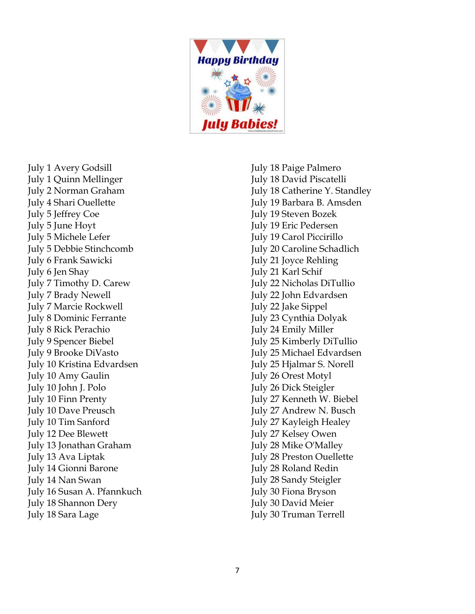

July 1 Avery Godsill July 1 Quinn Mellinger July 2 Norman Graham July 4 Shari Ouellette July 5 Jeffrey Coe July 5 June Hoyt July 5 Michele Lefer July 5 Debbie Stinchcomb July 6 Frank Sawicki July 6 Jen Shay July 7 Timothy D. Carew July 7 Brady Newell July 7 Marcie Rockwell July 8 Dominic Ferrante July 8 Rick Perachio July 9 Spencer Biebel July 9 Brooke DiVasto July 10 Kristina Edvardsen July 10 Amy Gaulin July 10 John J. Polo July 10 Finn Prenty July 10 Dave Preusch July 10 Tim Sanford July 12 Dee Blewett July 13 Jonathan Graham July 13 Ava Liptak July 14 Gionni Barone July 14 Nan Swan July 16 Susan A. Pfannkuch July 18 Shannon Dery July 18 Sara Lage

July 18 Paige Palmero July 18 David Piscatelli July 18 Catherine Y. Standley July 19 Barbara B. Amsden July 19 Steven Bozek July 19 Eric Pedersen July 19 Carol Piccirillo July 20 Caroline Schadlich July 21 Joyce Rehling July 21 Karl Schif July 22 Nicholas DiTullio July 22 John Edvardsen July 22 Jake Sippel July 23 Cynthia Dolyak July 24 Emily Miller July 25 Kimberly DiTullio July 25 Michael Edvardsen July 25 Hjalmar S. Norell July 26 Orest Motyl July 26 Dick Steigler July 27 Kenneth W. Biebel July 27 Andrew N. Busch July 27 Kayleigh Healey July 27 Kelsey Owen July 28 Mike O'Malley July 28 Preston Ouellette July 28 Roland Redin July 28 Sandy Steigler July 30 Fiona Bryson July 30 David Meier July 30 Truman Terrell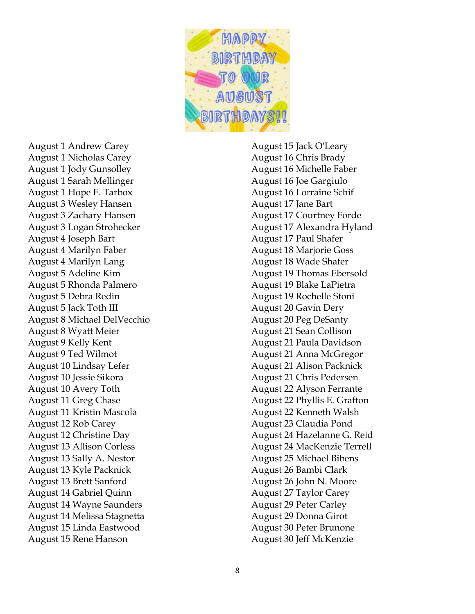

August 1 Andrew Carey August 1 Nicholas Carey August 1 Jody Gunsolley August 1 Sarah Mellinger August 1 Hope E. Tarbox August 3 Wesley Hansen August 3 Zachary Hansen August 3 Logan Strohecker August 4 Joseph Bart August 4 Marilyn Faber August 4 Marilyn Lang August 5 Adeline Kim August 5 Rhonda Palmero August 5 Debra Redin August 5 Jack Toth III August 8 Michael DelVecchio August 8 Wyatt Meier August 9 Kelly Kent August 9 Ted Wilmot August 10 Lindsay Lefer August 10 Jessie Sikora August 10 Avery Toth August 11 Greg Chase August 11 Kristin Mascola August 12 Rob Carey August 12 Christine Day August 13 Allison Corless August 13 Sally A. Nestor August 13 Kyle Packnick August 13 Brett Sanford August 14 Gabriel Quinn August 14 Wayne Saunders August 14 Melissa Stagnetta August 15 Linda Eastwood August 15 Rene Hanson

August 15 Jack O'Leary August 16 Chris Brady August 16 Michelle Faber August 16 Joe Gargiulo August 16 Lorraine Schif August 17 Jane Bart August 17 Courtney Forde August 17 Alexandra Hyland August 17 Paul Shafer August 18 Marjorie Goss August 18 Wade Shafer August 19 Thomas Ebersold August 19 Blake LaPietra August 19 Rochelle Stoni August 20 Gavin Dery August 20 Peg DeSanty August 21 Sean Collison August 21 Paula Davidson August 21 Anna McGregor August 21 Alison Packnick August 21 Chris Pedersen August 22 Alyson Ferrante August 22 Phyllis E. Grafton August 22 Kenneth Walsh August 23 Claudia Pond August 24 Hazelanne G. Reid August 24 MacKenzie Terrell August 25 Michael Bibens August 26 Bambi Clark August 26 John N. Moore August 27 Taylor Carey August 29 Peter Carley August 29 Donna Girot August 30 Peter Brunone August 30 Jeff McKenzie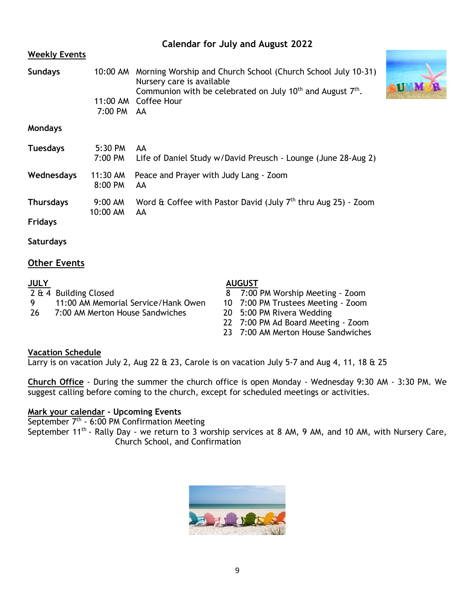| <b>Weekly Events</b> |                       |                                                                                                                                                                            |  |
|----------------------|-----------------------|----------------------------------------------------------------------------------------------------------------------------------------------------------------------------|--|
| <b>Sundays</b>       |                       | 10:00 AM Morning Worship and Church School (Church School July 10-31)<br>Nursery care is available<br>Communion with be celebrated on July $10^{th}$ and August $7^{th}$ . |  |
|                      | 7:00 PM AA            | 11:00 AM Coffee Hour                                                                                                                                                       |  |
| <b>Mondays</b>       |                       |                                                                                                                                                                            |  |
| <b>Tuesdays</b>      | 5:30 PM<br>7:00 PM    | AA<br>Life of Daniel Study w/David Preusch - Lounge (June 28-Aug 2)                                                                                                        |  |
| Wednesdays           | 11:30 AM<br>8:00 PM   | Peace and Prayer with Judy Lang - Zoom<br>AA.                                                                                                                              |  |
| <b>Thursdays</b>     | $9:00$ AM<br>10:00 AM | Word & Coffee with Pastor David (July $7th$ thru Aug 25) - Zoom<br>AA                                                                                                      |  |
| <b>Fridays</b>       |                       |                                                                                                                                                                            |  |

**Calendar for July and August 2022**

**Saturdays**

#### **Other Events**

| <b>JULY</b> |                                     | <b>AUGUST</b>                      |  |  |
|-------------|-------------------------------------|------------------------------------|--|--|
|             | 2 & 4 Building Closed               | 8 7:00 PM Worship Meeting - Zoom   |  |  |
|             | 11:00 AM Memorial Service/Hank Owen | 10 7:00 PM Trustees Meeting - Zoom |  |  |
| -26         | 7:00 AM Merton House Sandwiches     | 20 5:00 PM Rivera Wedding          |  |  |

7:00 AM Merton House Sandwiches

- 8 7:00 PM Worship Meeting Zoom
- 
- 
- 22 7:00 PM Ad Board Meeting Zoom
- 23 7:00 AM Merton House Sandwiches

#### **Vacation Schedule**

Larry is on vacation July 2, Aug 22 & 23, Carole is on vacation July 5-7 and Aug 4, 11, 18 & 25

**Church Office** - During the summer the church office is open Monday - Wednesday 9:30 AM - 3:30 PM. We suggest calling before coming to the church, except for scheduled meetings or activities.

#### **Mark your calendar - Upcoming Events**

September  $7<sup>th</sup> - 6:00$  PM Confirmation Meeting September 11<sup>th</sup> - Rally Day - we return to 3 worship services at 8 AM, 9 AM, and 10 AM, with Nursery Care, Church School, and Confirmation